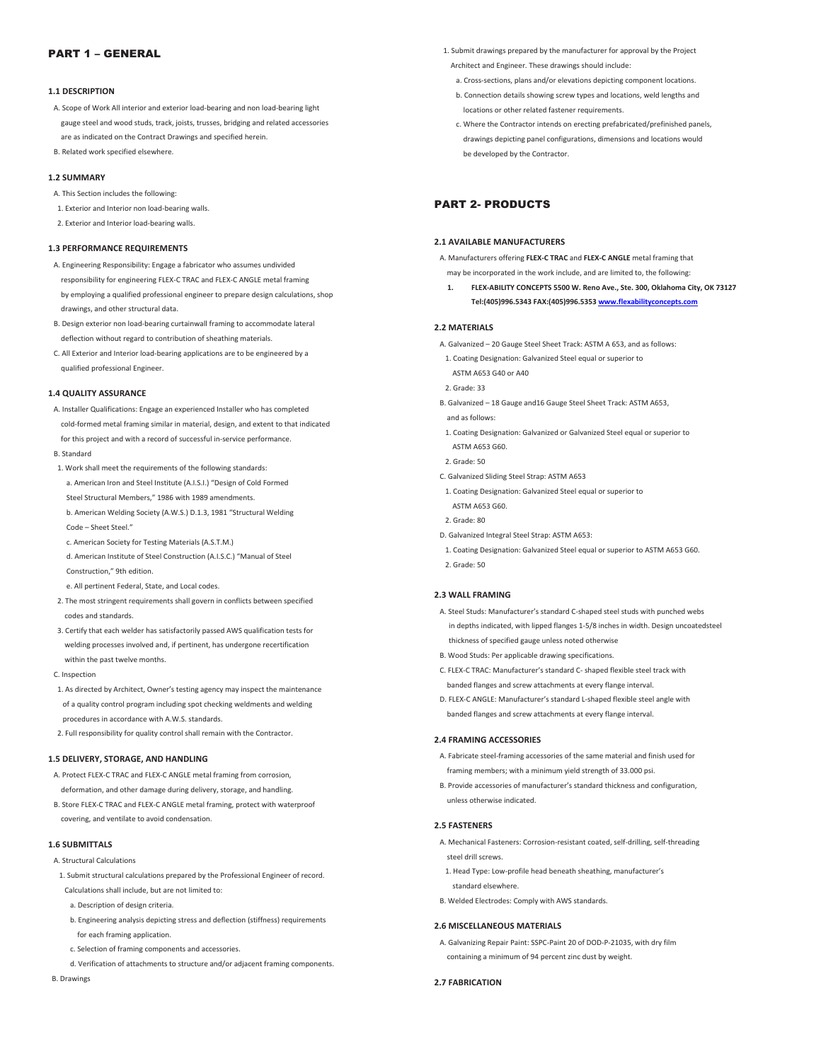# PART 1 – GENERAL

#### **1.1 DESCRIPTION**

- A. Scope of Work All interior and exterior load-bearing and non load-bearing light gauge steel and wood studs, track, joists, trusses, bridging and related accessories are as indicated on the Contract Drawings and specified herein.
- B. Related work specified elsewhere.

## **1.2 SUMMARY**

- A. This Section includes the following:
- 1. Exterior and Interior non load-bearing walls.
- 2. Exterior and Interior load-bearing walls.

## **1.3 PERFORMANCE REQUIREMENTS**

- A. Engineering Responsibility: Engage a fabricator who assumes undivided responsibility for engineering FLEX-C TRAC and FLEX-C ANGLE metal framing by employing a qualified professional engineer to prepare design calculations, shop drawings, and other structural data.
- B. Design exterior non load-bearing curtainwall framing to accommodate lateral deflection without regard to contribution of sheathing materials.
- C. All Exterior and Interior load-bearing applications are to be engineered by a qualified professional Engineer.

## **1.4 QUALITY ASSURANCE**

 A. Installer Qualifications: Engage an experienced Installer who has completed cold-formed metal framing similar in material, design, and extent to that indicated for this project and with a record of successful in-service performance.

#### B. Standard

- 1. Work shall meet the requirements of the following standards:
- a. American Iron and Steel Institute (A.I.S.I.) "Design of Cold Formed
- Steel Structural Members," 1986 with 1989 amendments.
- b. American Welding Society (A.W.S.) D.1.3, 1981 "Structural Welding Code – Sheet Steel."
- c. American Society for Testing Materials (A.S.T.M.)
- d. American Institute of Steel Construction (A.I.S.C.) "Manual of Steel
- Construction," 9th edition.
- e. All pertinent Federal, State, and Local codes.
- 2. The most stringent requirements shall govern in conflicts between specified codes and standards.
- 3. Certify that each welder has satisfactorily passed AWS qualification tests for welding processes involved and, if pertinent, has undergone recertification within the past twelve months.
- C. Inspection
- 1. As directed by Architect, Owner's testing agency may inspect the maintenance of a quality control program including spot checking weldments and welding procedures in accordance with A.W.S. standards.
- 2. Full responsibility for quality control shall remain with the Contractor.

#### **1.5 DELIVERY, STORAGE, AND HANDLING**

- A. Protect FLEX-C TRAC and FLEX-C ANGLE metal framing from corrosion, deformation, and other damage during delivery, storage, and handling.
- B. Store FLEX-C TRAC and FLEX-C ANGLE metal framing, protect with waterproof covering, and ventilate to avoid condensation.

#### **1.6 SUBMITTALS**

- A. Structural Calculations
- 1. Submit structural calculations prepared by the Professional Engineer of record.
- Calculations shall include, but are not limited to:
- a. Description of design criteria.
- b. Engineering analysis depicting stress and deflection (stiffness) requirements for each framing application.
- c. Selection of framing components and accessories.
- d. Verification of attachments to structure and/or adjacent framing components.

B. Drawings

- 1. Submit drawings prepared by the manufacturer for approval by the Project Architect and Engineer. These drawings should include:
	- a. Cross-sections, plans and/or elevations depicting component locations.
	- b. Connection details showing screw types and locations, weld lengths and locations or other related fastener requirements.
	- c. Where the Contractor intends on erecting prefabricated/prefinished panels, drawings depicting panel configurations, dimensions and locations would be developed by the Contractor.

# PART 2- PRODUCTS

## **2.1 AVAILABLE MANUFACTURERS**

 A. Manufacturers offering **FLEX-C TRAC** and **FLEX-C ANGLE** metal framing that may be incorporated in the work include, and are limited to, the following:

**1. FLEX-ABILITY CONCEPTS 5500 W. Reno Ave., Ste. 300, Oklahoma City, OK 73127 Tel:(405)996.5343 FAX:(405)996.5353 www.flexabilityconcepts.com**

#### **2.2 MATERIALS**

- A. Galvanized 20 Gauge Steel Sheet Track: ASTM A 653, and as follows:
- 1. Coating Designation: Galvanized Steel equal or superior to
- ASTM A653 G40 or A40
- 2. Grade: 33
- B. Galvanized 18 Gauge and16 Gauge Steel Sheet Track: ASTM A653,
- and as follows: 1. Coating Designation: Galvanized or Galvanized Steel equal or superior to
- ASTM A653 G60.
- 2. Grade: 50
- C. Galvanized Sliding Steel Strap: ASTM A653
- 1. Coating Designation: Galvanized Steel equal or superior to ASTM A653 G60.
- 2. Grade: 80
- D. Galvanized Integral Steel Strap: ASTM A653:
- 1. Coating Designation: Galvanized Steel equal or superior to ASTM A653 G60. 2. Grade: 50

#### **2.3 WALL FRAMING**

- A. Steel Studs: Manufacturer's standard C-shaped steel studs with punched webs in depths indicated, with lipped flanges 1-5/8 inches in width. Design uncoatedsteel thickness of specified gauge unless noted otherwise
- B. Wood Studs: Per applicable drawing specifications.
- C. FLEX-C TRAC: Manufacturer's standard C- shaped flexible steel track with banded flanges and screw attachments at every flange interval.
- D. FLEX-C ANGLE: Manufacturer's standard L-shaped flexible steel angle with banded flanges and screw attachments at every flange interval.

#### **2.4 FRAMING ACCESSORIES**

- A. Fabricate steel-framing accessories of the same material and finish used for framing members; with a minimum yield strength of 33.000 psi.
- B. Provide accessories of manufacturer's standard thickness and configuration, unless otherwise indicated.

### **2.5 FASTENERS**

- A. Mechanical Fasteners: Corrosion-resistant coated, self-drilling, self-threading steel drill screws.
- 1. Head Type: Low-profile head beneath sheathing, manufacturer's standard elsewhere.
- B. Welded Electrodes: Comply with AWS standards.

### **2.6 MISCELLANEOUS MATERIALS**

 A. Galvanizing Repair Paint: SSPC-Paint 20 of DOD-P-21035, with dry film containing a minimum of 94 percent zinc dust by weight.

#### **2.7 FABRICATION**